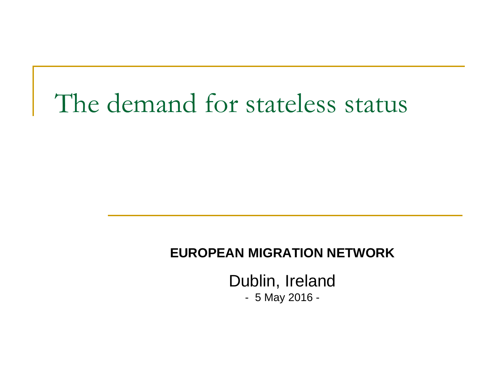### The demand for stateless status

#### **EUROPEAN MIGRATION NETWORK**

Dublin, Ireland

- 5 May 2016 -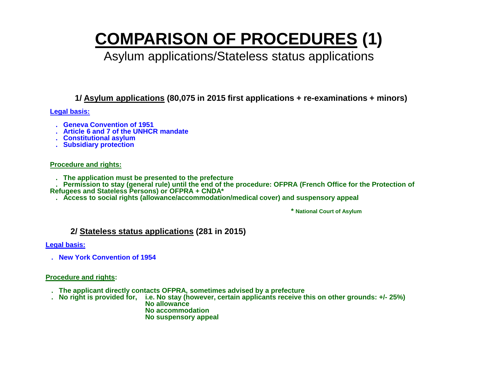### **COMPARISON OF PROCEDURES (1)**

#### Asylum applications/Stateless status applications

**1/ Asylum applications (80,075 in 2015 first applications + re-examinations + minors)**

#### **Legal basis:**

- **. Geneva Convention of 1951**
- **. Article 6 and 7 of the UNHCR mandate**
- **. Constitutional asylum**
- **. Subsidiary protection**

#### **Procedure and rights:**

 **. The application must be presented to the prefecture**

 **. Permission to stay (general rule) until the end of the procedure: OFPRA (French Office for the Protection of Refugees and Stateless Persons) or OFPRA + CNDA\***

 **. Access to social rights (allowance/accommodation/medical cover) and suspensory appeal**

 **\* National Court of Asylum**

#### **2/ Stateless status applications (281 in 2015)**

**Legal basis:**

 **. New York Convention of 1954**

#### **Procedure and rights:**

- **. The applicant directly contacts OFPRA, sometimes advised by a prefecture**
- **. No right is provided for, i.e. No stay (however, certain applicants receive this on other grounds: +/- 25%) No allowance No accommodation No suspensory appeal**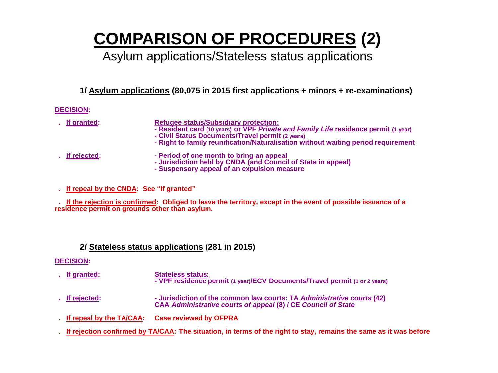### **COMPARISON OF PROCEDURES (2)**

#### Asylum applications/Stateless status applications

**1/ Asylum applications (80,075 in 2015 first applications + minors + re-examinations)**

#### **DECISION:**

- 
- **. If granted: Refugee status/Subsidiary protection:**
	- **- Resident card (10 years) or VPF** *Private and Family Life* **residence permit (1 year)**
	- **- Civil Status Documents/Travel permit (2 years)**
	- **- Right to family reunification/Naturalisation without waiting period requirement**

- 
- **. If rejected: - Period of one month to bring an appeal**
	- **- Jurisdiction held by CNDA (and Council of State in appeal) - Suspensory appeal of an expulsion measure**
	-
- **. If repeal by the CNDA: See "If granted"**

 **. If the rejection is confirmed: Obliged to leave the territory, except in the event of possible issuance of a residence permit on grounds other than asylum.**

#### **2/ Stateless status applications (281 in 2015)**

#### **DECISION:**

- **. If granted: Stateless status: - VPF residence permit (1 year)/ECV Documents/Travel permit (1 or 2 years)**
- **. If rejected: - Jurisdiction of the common law courts: TA** *Administrative courts* **(42) CAA** *Administrative courts of appeal* **(8) / CE** *Council of State*
- **. If repeal by the TA/CAA: Case reviewed by OFPRA**
- **. If rejection confirmed by TA/CAA: The situation, in terms of the right to stay, remains the same as it was before**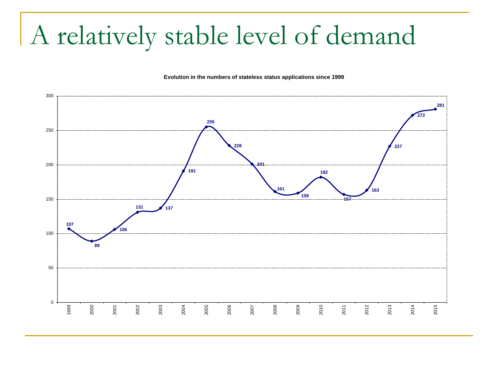## A relatively stable level of demand

#### Evolution in the numbers of stateless status applications since 1999

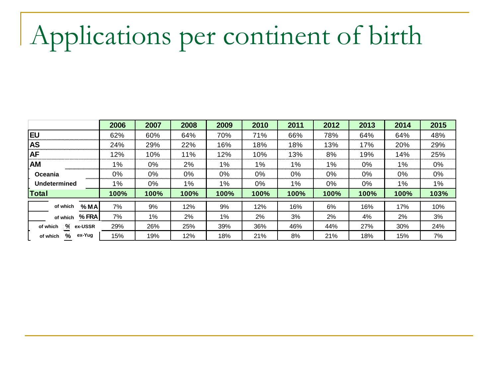# Applications per continent of birth

|                          | 2006  | 2007 | 2008  | 2009        | 2010 | 2011        | 2012  | 2013 | 2014  | 2015 |
|--------------------------|-------|------|-------|-------------|------|-------------|-------|------|-------|------|
| <b>IEU</b>               | 62%   | 60%  | 64%   | 70%         | 71%  | 66%         | 78%   | 64%  | 64%   | 48%  |
| <b>AS</b>                | 24%   | 29%  | 22%   | 16%         | 18%  | 18%         | 13%   | 17%  | 20%   | 29%  |
| <b>AF</b>                | 12%   | 10%  | 11%   | 12%         | 10%  | 13%         | 8%    | 19%  | 14%   | 25%  |
| <b>AM</b>                | 1%    | 0%   | 2%    | $1\%$       | 1%   | $1\%$       | $1\%$ | 0%   | $1\%$ | 0%   |
| <b>Oceania</b>           | 0%    | 0%   | 0%    | 0%          | 0%   | 0%          | 0%    | 0%   | 0%    | 0%   |
| Undetermined             | $1\%$ | 0%   | $1\%$ | 1%          | 0%   | 1%          | 0%    | 0%   | 1%    | 1%   |
| <b>Total</b>             | 100%  | 100% | 100%  | <b>100%</b> | 100% | <b>100%</b> | 100%  | 100% | 100%  | 103% |
| %MA<br>of which          | 7%    | 9%   | 12%   | 9%          | 12%  | 16%         | 6%    | 16%  | 17%   | 10%  |
| $%$ FRA<br>of which      | 7%    | 1%   | $2\%$ | 1%          | 2%   | 3%          | 2%    | 4%   | 2%    | 3%   |
| ℀<br>ex-USSR<br>of which | 29%   | 26%  | 25%   | 39%         | 36%  | 46%         | 44%   | 27%  | 30%   | 24%  |
| ex-Yug<br>%<br>of which  | 15%   | 19%  | 12%   | 18%         | 21%  | 8%          | 21%   | 18%  | 15%   | 7%   |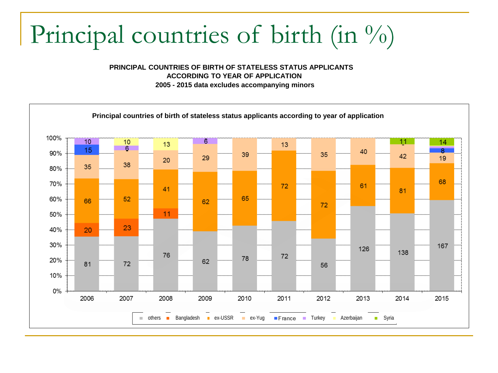# Principal countries of birth (in %)

**PRINCIPAL COUNTRIES OF BIRTH OF STATELESS STATUS APPLICANTS ACCORDING TO YEAR OF APPLICATION**

**2005 - 2015 data excludes accompanying minors**

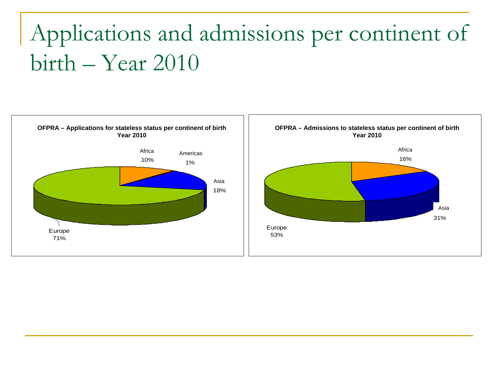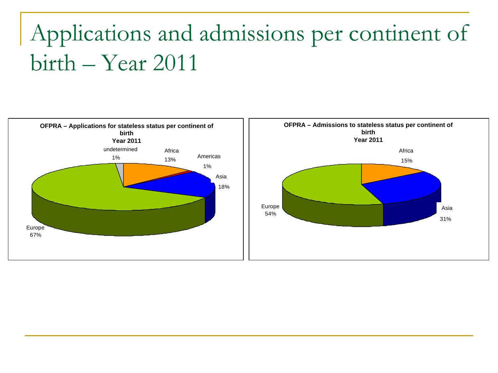

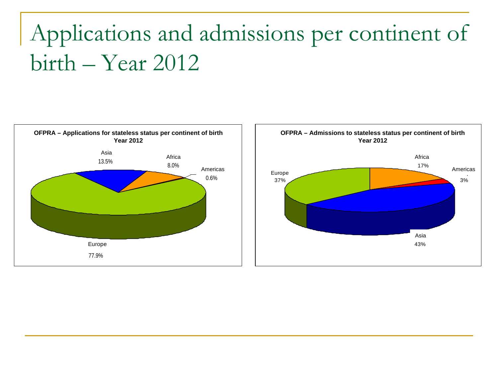

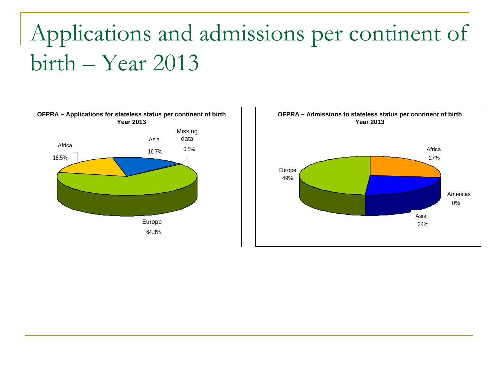

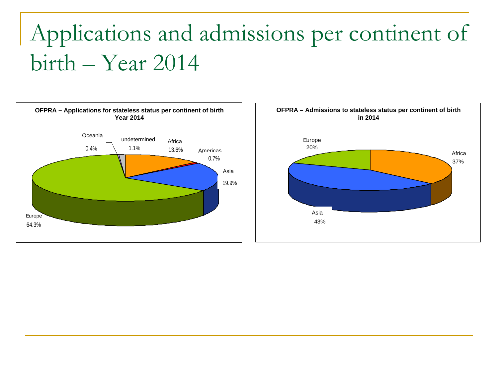

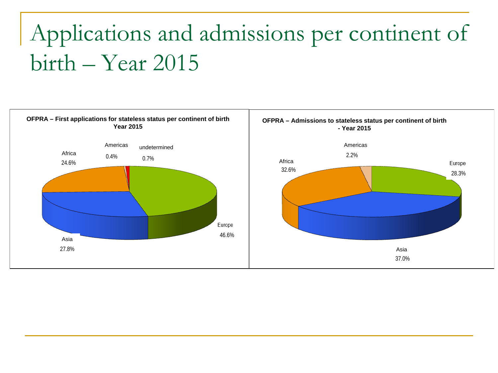